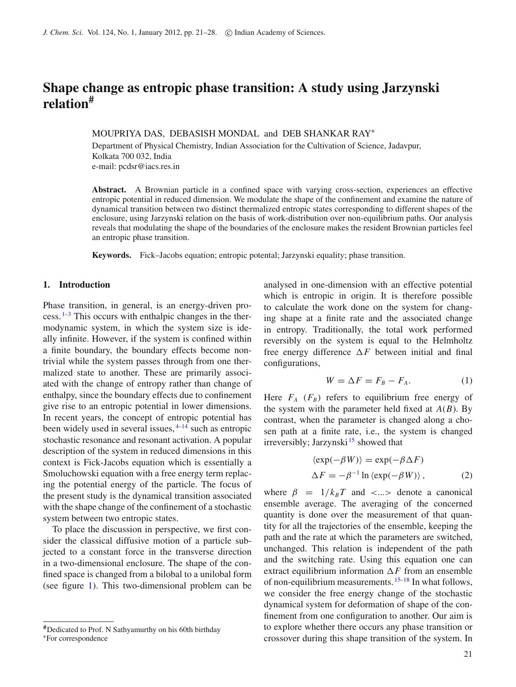# **Shape change as entropic phase transition: A study using Jarzynski relation#**

MOUPRIYA DAS, DEBASISH MONDAL and DEB SHANKAR RAY<sup>∗</sup>

Department of Physical Chemistry, Indian Association for the Cultivation of Science, Jadavpur, Kolkata 700 032, India e-mail: pcdsr@iacs.res.in

**Abstract.** A Brownian particle in a confined space with varying cross-section, experiences an effective entropic potential in reduced dimension. We modulate the shape of the confinement and examine the nature of dynamical transition between two distinct thermalized entropic states corresponding to different shapes of the enclosure, using Jarzynski relation on the basis of work-distribution over non-equilibrium paths. Our analysis reveals that modulating the shape of the boundaries of the enclosure makes the resident Brownian particles feel an entropic phase transition.

**Keywords.** Fick–Jacobs equation; entropic potental; Jarzynski equality; phase transition.

## **1. Introduction**

Phase transition, in general, is an energy-driven pro $cess.$ <sup>[1](#page-6-0)[–3](#page-6-1)</sup> This occurs with enthalpic changes in the thermodynamic system, in which the system size is ideally infinite. However, if the system is confined within a finite boundary, the boundary effects become nontrivial while the system passes through from one thermalized state to another. These are primarily associated with the change of entropy rather than change of enthalpy, since the boundary effects due to confinement give rise to an entropic potential in lower dimensions. In recent years, the concept of entropic potential has been widely used in several issues,  $4-14$  $4-14$  such as entropic stochastic resonance and resonant activation. A popular description of the system in reduced dimensions in this context is Fick-Jacobs equation which is essentially a Smoluchowski equation with a free energy term replacing the potential energy of the particle. The focus of the present study is the dynamical transition associated with the shape change of the confinement of a stochastic system between two entropic states.

To place the discussion in perspective, we first consider the classical diffusive motion of a particle subjected to a constant force in the transverse direction in a two-dimensional enclosure. The shape of the confined space is changed from a bilobal to a unilobal form (see figure [1\)](#page-1-0). This two-dimensional problem can be

analysed in one-dimension with an effective potential which is entropic in origin. It is therefore possible to calculate the work done on the system for changing shape at a finite rate and the associated change in entropy. Traditionally, the total work performed reversibly on the system is equal to the Helmholtz free energy difference  $\Delta F$  between initial and final configurations,

$$
W = \Delta F = F_B - F_A. \tag{1}
$$

Here  $F_A$  ( $F_B$ ) refers to equilibrium free energy of the system with the parameter held fixed at  $A(B)$ . By contrast, when the parameter is changed along a chosen path at a finite rate, i.e., the system is changed irreversibly; Jarzynski<sup>[15](#page-6-4)</sup> showed that

<span id="page-0-0"></span>
$$
\langle \exp(-\beta W) \rangle = \exp(-\beta \Delta F)
$$
  
 
$$
\Delta F = -\beta^{-1} \ln \langle \exp(-\beta W) \rangle, \qquad (2)
$$

where  $\beta = 1/k_B T$  and  $\langle ... \rangle$  denote a canonical ensemble average. The averaging of the concerned quantity is done over the measurement of that quantity for all the trajectories of the ensemble, keeping the path and the rate at which the parameters are switched, unchanged. This relation is independent of the path and the switching rate. Using this equation one can extract equilibrium information  $\Delta F$  from an ensemble of non-equilibrium measurements. [15](#page-6-4)[–18](#page-6-5) In what follows, we consider the free energy change of the stochastic dynamical system for deformation of shape of the confinement from one configuration to another. Our aim is to explore whether there occurs any phase transition or crossover during this shape transition of the system. In

**<sup>#</sup>**Dedicated to Prof. N Sathyamurthy on his 60th birthday <sup>∗</sup>For correspondence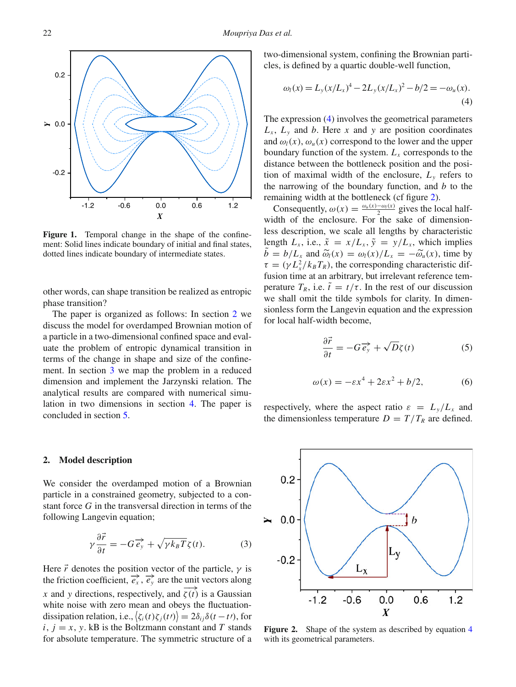<span id="page-1-0"></span>

Figure 1. Temporal change in the shape of the confinement: Solid lines indicate boundary of initial and final states, dotted lines indicate boundary of intermediate states.

other words, can shape transition be realized as entropic phase transition?

The paper is organized as follows: In section [2](#page-1-1) we discuss the model for overdamped Brownian motion of a particle in a two-dimensional confined space and evaluate the problem of entropic dynamical transition in terms of the change in shape and size of the confinement. In section [3](#page-2-0) we map the problem in a reduced dimension and implement the Jarzynski relation. The analytical results are compared with numerical simulation in two dimensions in section [4.](#page-3-0) The paper is concluded in section [5.](#page-6-6)

#### <span id="page-1-1"></span>**2. Model description**

We consider the overdamped motion of a Brownian particle in a constrained geometry, subjected to a constant force *G* in the transversal direction in terms of the following Langevin equation;

<span id="page-1-4"></span>
$$
\gamma \frac{\partial \vec{r}}{\partial t} = -G \vec{e_y} + \sqrt{\gamma k_B T} \zeta(t). \tag{3}
$$

Here  $\vec{r}$  denotes the position vector of the particle,  $\gamma$  is the friction coefficient,  $\vec{e}_x$ ,  $\vec{e}_y$  are the unit vectors along *x* and *y* directions, respectively, and  $\zeta(t)$  is a Gaussian white noise with zero mean and obeys the fluctuationdissipation relation, i.e.,  $\langle \zeta_i(t) \zeta_j(t) \rangle = 2\delta_{ij} \delta(t - t)$ , for  $i, j = x, y$ . kB is the Boltzmann constant and *T* stands for absolute temperature. The symmetric structure of a two-dimensional system, confining the Brownian particles, is defined by a quartic double-well function,

<span id="page-1-2"></span>
$$
\omega_l(x) = L_y(x/L_x)^4 - 2L_y(x/L_x)^2 - b/2 = -\omega_u(x).
$$
\n(4)

The expression [\(4\)](#page-1-2) involves the geometrical parameters  $L_x$ ,  $L_y$  and *b*. Here *x* and *y* are position coordinates and  $\omega_l(x)$ ,  $\omega_u(x)$  correspond to the lower and the upper boundary function of the system.  $L<sub>x</sub>$  corresponds to the distance between the bottleneck position and the position of maximal width of the enclosure,  $L<sub>v</sub>$  refers to the narrowing of the boundary function, and *b* to the remaining width at the bottleneck (cf figure [2\)](#page-1-3).

Consequently,  $\omega(x) = \frac{\omega_u(x) - \omega_l(x)}{2}$  gives the local halfwidth of the enclosure. For the sake of dimensionless description, we scale all lengths by characteristic length  $L_x$ , i.e.,  $\tilde{x} = x/L_x$ ,  $\tilde{y} = y/L_x$ , which implies  $\tilde{b} = b/L_x$  and  $\tilde{\omega}_l(x) = \omega_l(x)/L_x = -\tilde{\omega}_u(x)$ , time by  $\tau = (\gamma L_x^2 / k_B T_R)$ , the corresponding characteristic diffusion time at an arbitrary, but irrelevant reference temperature  $T_R$ , i.e.  $\tilde{t} = t/\tau$ . In the rest of our discussion we shall omit the tilde symbols for clarity. In dimensionless form the Langevin equation and the expression for local half-width become,

$$
\frac{\partial \vec{r}}{\partial t} = -G\vec{e_y} + \sqrt{D}\zeta(t) \tag{5}
$$

$$
\omega(x) = -\varepsilon x^4 + 2\varepsilon x^2 + b/2,\tag{6}
$$

respectively, where the aspect ratio  $\varepsilon = L_y/L_x$  and the dimensionless temperature  $D = T/T_R$  are defined.

<span id="page-1-3"></span>

**Figure 2.** Shape of the system as described by equation [4](#page-1-2) with its geometrical parameters.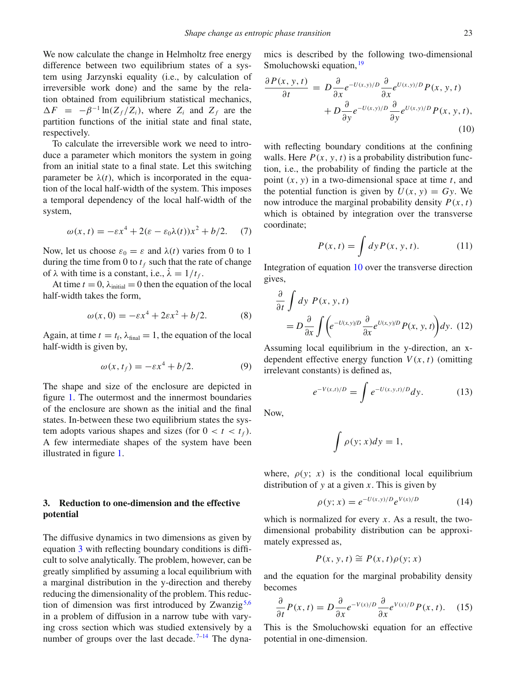We now calculate the change in Helmholtz free energy difference between two equilibrium states of a system using Jarzynski equality (i.e., by calculation of irreversible work done) and the same by the relation obtained from equilibrium statistical mechanics,  $\Delta F = -\beta^{-1} \ln(Z_f/Z_i)$ , where  $Z_i$  and  $Z_f$  are the partition functions of the initial state and final state, respectively.

To calculate the irreversible work we need to introduce a parameter which monitors the system in going from an initial state to a final state. Let this switching parameter be  $\lambda(t)$ , which is incorporated in the equation of the local half-width of the system. This imposes a temporal dependency of the local half-width of the system,

$$
\omega(x,t) = -\varepsilon x^4 + 2(\varepsilon - \varepsilon_0 \lambda(t))x^2 + b/2. \tag{7}
$$

Now, let us choose  $\varepsilon_0 = \varepsilon$  and  $\lambda(t)$  varies from 0 to 1 during the time from 0 to  $t_f$  such that the rate of change of  $\lambda$  with time is a constant, i.e.,  $\lambda = 1/t_f$ .

At time  $t = 0$ ,  $\lambda_{initial} = 0$  then the equation of the local half-width takes the form,

$$
\omega(x, 0) = -\varepsilon x^4 + 2\varepsilon x^2 + b/2. \tag{8}
$$

Again, at time  $t = t_f$ ,  $\lambda_{final} = 1$ , the equation of the local half-width is given by,

$$
\omega(x, t_f) = -\varepsilon x^4 + b/2. \tag{9}
$$

The shape and size of the enclosure are depicted in figure [1.](#page-1-0) The outermost and the innermost boundaries of the enclosure are shown as the initial and the final states. In-between these two equilibrium states the system adopts various shapes and sizes (for  $0 < t < t_f$ ). A few intermediate shapes of the system have been illustrated in figure [1.](#page-1-0)

## <span id="page-2-0"></span>**3. Reduction to one-dimension and the effective potential**

The diffusive dynamics in two dimensions as given by equation [3](#page-1-4) with reflecting boundary conditions is difficult to solve analytically. The problem, however, can be greatly simplified by assuming a local equilibrium with a marginal distribution in the y-direction and thereby reducing the dimensionality of the problem. This reduc-tion of dimension was first introduced by Zwanzig<sup>5[,6](#page-6-8)</sup> in a problem of diffusion in a narrow tube with varying cross section which was studied extensively by a number of groups over the last decade.<sup> $7-14$  $7-14$ </sup> The dynamics is described by the following two-dimensional Smoluchowski equation, <sup>[19](#page-7-0)</sup>

<span id="page-2-1"></span>
$$
\frac{\partial P(x, y, t)}{\partial t} = D \frac{\partial}{\partial x} e^{-U(x, y)/D} \frac{\partial}{\partial x} e^{U(x, y)/D} P(x, y, t) \n+ D \frac{\partial}{\partial y} e^{-U(x, y)/D} \frac{\partial}{\partial y} e^{U(x, y)/D} P(x, y, t),
$$
\n(10)

with reflecting boundary conditions at the confining walls. Here  $P(x, y, t)$  is a probability distribution function, i.e., the probability of finding the particle at the point  $(x, y)$  in a two-dimensional space at time  $t$ , and the potential function is given by  $U(x, y) = Gy$ . We now introduce the marginal probability density  $P(x, t)$ which is obtained by integration over the transverse coordinate;

$$
P(x,t) = \int dy P(x, y, t). \tag{11}
$$

Integration of equation [10](#page-2-1) over the transverse direction gives,

$$
\frac{\partial}{\partial t} \int dy \ P(x, y, t) \n= D \frac{\partial}{\partial x} \int \left( e^{-U(x, y)/D} \frac{\partial}{\partial x} e^{U(x, y)/D} P(x, y, t) \right) dy.
$$
\n(12)

Assuming local equilibrium in the y-direction, an xdependent effective energy function  $V(x, t)$  (omitting irrelevant constants) is defined as,

<span id="page-2-2"></span>
$$
e^{-V(x,t)/D} = \int e^{-U(x,y,t)/D} dy.
$$
 (13)

Now,

$$
\int \rho(y; x) dy = 1,
$$

where,  $\rho(y; x)$  is the conditional local equilibrium distribution of *y* at a given *x*. This is given by

$$
\rho(y; x) = e^{-U(x, y)/D} e^{V(x)/D} \tag{14}
$$

which is normalized for every *x*. As a result, the twodimensional probability distribution can be approximately expressed as,

$$
P(x, y, t) \cong P(x, t)\rho(y; x)
$$

and the equation for the marginal probability density becomes

<span id="page-2-3"></span>
$$
\frac{\partial}{\partial t}P(x,t) = D \frac{\partial}{\partial x} e^{-V(x)/D} \frac{\partial}{\partial x} e^{V(x)/D} P(x,t). \quad (15)
$$

This is the Smoluchowski equation for an effective potential in one-dimension.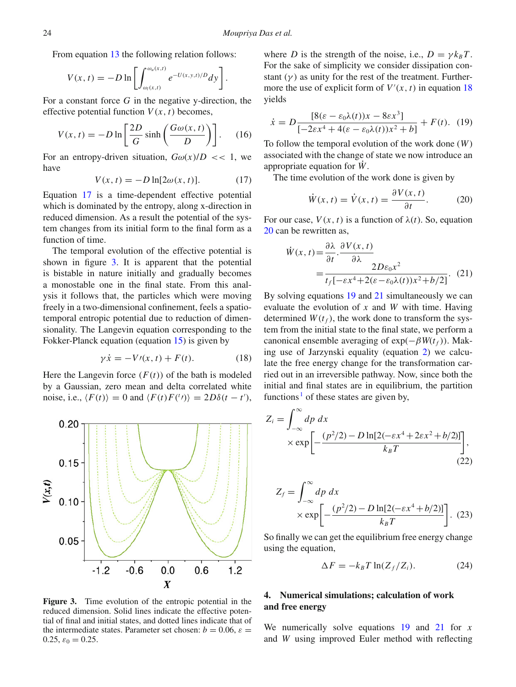From equation [13](#page-2-2) the following relation follows:

$$
V(x,t) = -D \ln \left[ \int_{\omega_l(x,t)}^{\omega_u(x,t)} e^{-U(x,y,t)/D} dy \right].
$$

For a constant force *G* in the negative y-direction, the effective potential function  $V(x, t)$  becomes,

$$
V(x,t) = -D \ln \left[ \frac{2D}{G} \sinh \left( \frac{G\omega(x,t)}{D} \right) \right].
$$
 (16)

For an entropy-driven situation,  $G\omega(x)/D \ll 1$ , we have

<span id="page-3-1"></span>
$$
V(x, t) = -D \ln[2\omega(x, t)].
$$
 (17)

Equation [17](#page-3-1) is a time-dependent effective potential which is dominated by the entropy, along x-direction in reduced dimension. As a result the potential of the system changes from its initial form to the final form as a function of time.

The temporal evolution of the effective potential is shown in figure [3.](#page-3-2) It is apparent that the potential is bistable in nature initially and gradually becomes a monostable one in the final state. From this analysis it follows that, the particles which were moving freely in a two-dimensional confinement, feels a spatiotemporal entropic potential due to reduction of dimensionality. The Langevin equation corresponding to the Fokker-Planck equation (equation [15\)](#page-2-3) is given by

<span id="page-3-3"></span>
$$
\gamma \dot{x} = -V/(x, t) + F(t). \tag{18}
$$

Here the Langevin force  $(F(t))$  of the bath is modeled by a Gaussian, zero mean and delta correlated white noise, i.e.,  $\langle F(t) \rangle = 0$  and  $\langle F(t) F(t') \rangle = 2D\delta(t - t'),$ 

<span id="page-3-2"></span>

**Figure 3.** Time evolution of the entropic potential in the reduced dimension. Solid lines indicate the effective potential of final and initial states, and dotted lines indicate that of the intermediate states. Parameter set chosen:  $b = 0.06$ ,  $\varepsilon =$ 0.25,  $\varepsilon_0 = 0.25$ .

where *D* is the strength of the noise, i.e.,  $D = \gamma k_B T$ . For the sake of simplicity we consider dissipation constant  $(\gamma)$  as unity for the rest of the treatment. Furthermore the use of explicit form of  $V'(x, t)$  in equation [18](#page-3-3) yields

<span id="page-3-5"></span>
$$
\dot{x} = D \frac{[8(\varepsilon - \varepsilon_0 \lambda(t))x - 8\varepsilon x^3]}{[-2\varepsilon x^4 + 4(\varepsilon - \varepsilon_0 \lambda(t))x^2 + b]} + F(t). \tag{19}
$$

To follow the temporal evolution of the work done (*W*) associated with the change of state we now introduce an appropriate equation for *W*˙ .

The time evolution of the work done is given by

<span id="page-3-4"></span>
$$
\dot{W}(x,t) = \dot{V}(x,t) = \frac{\partial V(x,t)}{\partial t}.
$$
 (20)

For our case,  $V(x, t)$  is a function of  $\lambda(t)$ . So, equation [20](#page-3-4) can be rewritten as,

<span id="page-3-6"></span>
$$
\dot{W}(x, t) = \frac{\partial \lambda}{\partial t} \cdot \frac{\partial V(x, t)}{\partial \lambda} \n= \frac{2D\varepsilon_0 x^2}{t_f[-\varepsilon x^4 + 2(\varepsilon - \varepsilon_0 \lambda(t))x^2 + b/2]}.
$$
\n(21)

By solving equations [19](#page-3-5) and [21](#page-3-6) simultaneously we can evaluate the evolution of *x* and *W* with time. Having determined  $W(t_f)$ , the work done to transform the system from the initial state to the final state, we perform a canonical ensemble averaging of  $exp(-\beta W(t_f))$ . Making use of Jarzynski equality (equation [2\)](#page-0-0) we calculate the free energy change for the transformation carried out in an irreversible pathway. Now, since both the initial and final states are in equilibrium, the partition functions<sup>[1](#page-6-0)</sup> of these states are given by,

$$
Z_i = \int_{-\infty}^{\infty} dp \, dx
$$
  
 
$$
\times \exp\left[-\frac{(p^2/2) - D\ln[2(-\varepsilon x^4 + 2\varepsilon x^2 + b/2)]}{k_B T}\right],
$$
 (22)

$$
Z_f = \int_{-\infty}^{\infty} dp \, dx
$$
  
 
$$
\times \exp\left[-\frac{(p^2/2) - D\ln[2(-\varepsilon x^4 + b/2)]}{k_B T}\right].
$$
 (23)

So finally we can get the equilibrium free energy change using the equation,

$$
\Delta F = -k_B T \ln(Z_f/Z_i). \tag{24}
$$

# <span id="page-3-0"></span>**4. Numerical simulations; calculation of work and free energy**

We numerically solve equations [19](#page-3-5) and [21](#page-3-6) for *x* and *W* using improved Euler method with reflecting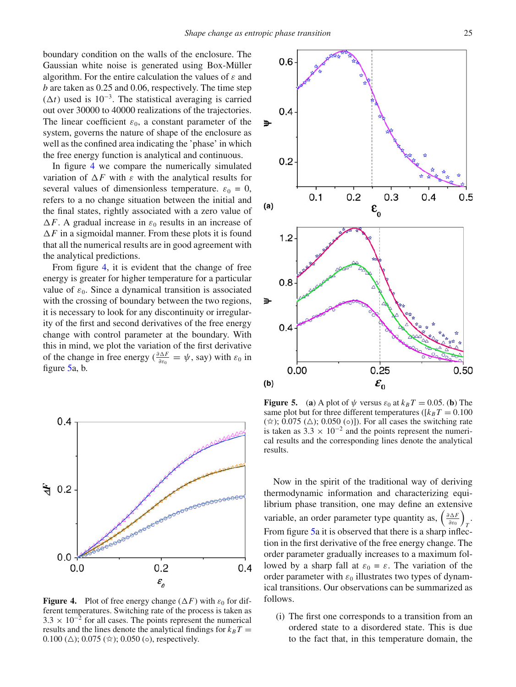boundary condition on the walls of the enclosure. The Gaussian white noise is generated using Box-Müller algorithm. For the entire calculation the values of  $\varepsilon$  and *b* are taken as 0.25 and 0.06, respectively. The time step  $(\Delta t)$  used is 10<sup>-3</sup>. The statistical averaging is carried out over 30000 to 40000 realizations of the trajectories. The linear coefficient  $\varepsilon_0$ , a constant parameter of the system, governs the nature of shape of the enclosure as well as the confined area indicating the 'phase' in which the free energy function is analytical and continuous.

In figure [4](#page-4-0) we compare the numerically simulated variation of  $\Delta F$  with  $\varepsilon$  with the analytical results for several values of dimensionless temperature.  $\varepsilon_0 = 0$ , refers to a no change situation between the initial and the final states, rightly associated with a zero value of  $\Delta F$ . A gradual increase in  $\varepsilon_0$  results in an increase of  $\Delta F$  in a sigmoidal manner. From these plots it is found that all the numerical results are in good agreement with the analytical predictions.

From figure [4,](#page-4-0) it is evident that the change of free energy is greater for higher temperature for a particular value of  $\varepsilon_0$ . Since a dynamical transition is associated with the crossing of boundary between the two regions, it is necessary to look for any discontinuity or irregularity of the first and second derivatives of the free energy change with control parameter at the boundary. With this in mind, we plot the variation of the first derivative of the change in free energy ( $\frac{\partial \Delta F}{\partial \varepsilon_0} = \psi$ , say) with  $\varepsilon_0$  in figure [5a](#page-4-1), b.

<span id="page-4-0"></span>

**Figure 4.** Plot of free energy change  $(\Delta F)$  with  $\varepsilon_0$  for different temperatures. Switching rate of the process is taken as  $3.3 \times 10^{-2}$  for all cases. The points represent the numerical results and the lines denote the analytical findings for  $k_B T =$ 0.100 ( $\triangle$ ); 0.075 (☆); 0.050 (○), respectively.

<span id="page-4-1"></span>

**Figure 5.** (a) A plot of  $\psi$  versus  $\varepsilon_0$  at  $k_B T = 0.05$ . (b) The same plot but for three different temperatures ( $[k_B T = 0.100$ )  $(\star)$ ; 0.075 ( $\triangle$ ); 0.050 ( $\circ$ )]). For all cases the switching rate is taken as  $3.3 \times 10^{-2}$  and the points represent the numerical results and the corresponding lines denote the analytical results.

Now in the spirit of the traditional way of deriving thermodynamic information and characterizing equilibrium phase transition, one may define an extensive variable, an order parameter type quantity as, ∂-*F*  $∂ε$ <sub>(</sub>  $\lambda$ From figure [5a](#page-4-1) it is observed that there is a sharp inflec-. tion in the first derivative of the free energy change. The order parameter gradually increases to a maximum followed by a sharp fall at  $\varepsilon_0 = \varepsilon$ . The variation of the order parameter with  $\varepsilon_0$  illustrates two types of dynamical transitions. Our observations can be summarized as follows.

(i) The first one corresponds to a transition from an ordered state to a disordered state. This is due to the fact that, in this temperature domain, the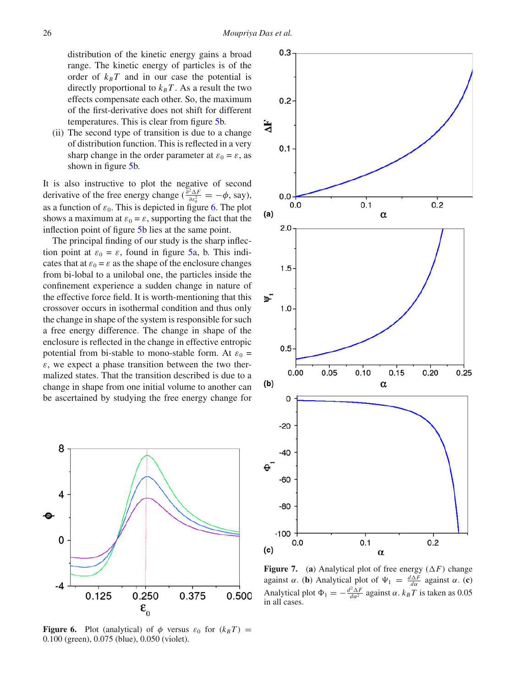distribution of the kinetic energy gains a broad range. The kinetic energy of particles is of the order of  $k_B T$  and in our case the potential is directly proportional to  $k_B T$ . As a result the two effects compensate each other. So, the maximum of the first-derivative does not shift for different temperatures. This is clear from figure [5b](#page-4-1).

(ii) The second type of transition is due to a change of distribution function. This is reflected in a very sharp change in the order parameter at  $\varepsilon_0 = \varepsilon$ , as shown in figure [5b](#page-4-1).

It is also instructive to plot the negative of second derivative of the free energy change ( $\frac{\partial^2 \Delta F}{\partial \varepsilon_0^2} = -\phi$ , say), as a function of  $\varepsilon_0$ . This is depicted in figure [6.](#page-5-0) The plot shows a maximum at  $\varepsilon_0 = \varepsilon$ , supporting the fact that the inflection point of figure [5b](#page-4-1) lies at the same point.

The principal finding of our study is the sharp inflection point at  $\varepsilon_0 = \varepsilon$ , found in figure [5a](#page-4-1), b. This indicates that at  $\varepsilon_0 = \varepsilon$  as the shape of the enclosure changes from bi-lobal to a unilobal one, the particles inside the confinement experience a sudden change in nature of the effective force field. It is worth-mentioning that this crossover occurs in isothermal condition and thus only the change in shape of the system is responsible for such a free energy difference. The change in shape of the enclosure is reflected in the change in effective entropic potential from bi-stable to mono-stable form. At  $\varepsilon_0$  =  $\varepsilon$ , we expect a phase transition between the two thermalized states. That the transition described is due to a change in shape from one initial volume to another can be ascertained by studying the free energy change for

<span id="page-5-0"></span>

**Figure 6.** Plot (analytical) of  $\phi$  versus  $\varepsilon_0$  for  $(k_B T)$  = 0.100 (green), 0.075 (blue), 0.050 (violet).

<span id="page-5-1"></span>

**Figure 7.** (a) Analytical plot of free energy  $(\Delta F)$  change against  $\alpha$ . (**b**) Analytical plot of  $\Psi_1 = \frac{d\Delta F}{d\alpha}$  against  $\alpha$ . (**c**) Analytical plot  $\Phi_1 = -\frac{d^2 \Delta F}{d\alpha^2}$  against  $\alpha$ .  $k_B T$  is taken as 0.05 in all cases.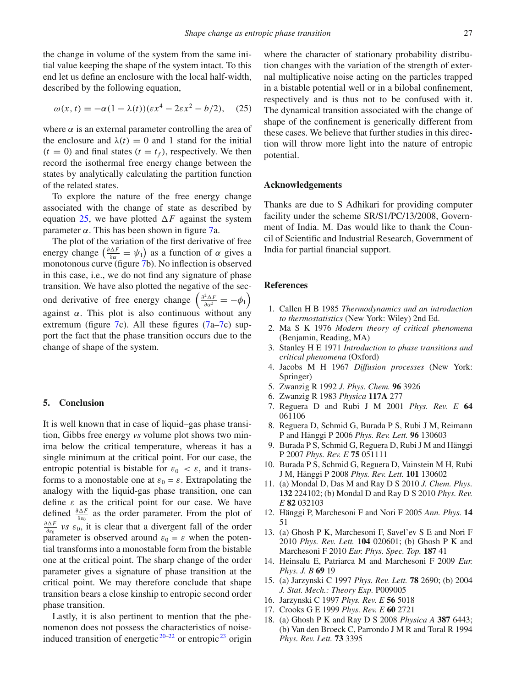the change in volume of the system from the same initial value keeping the shape of the system intact. To this end let us define an enclosure with the local half-width, described by the following equation,

<span id="page-6-10"></span>
$$
\omega(x,t) = -\alpha(1 - \lambda(t)) (\varepsilon x^4 - 2\varepsilon x^2 - b/2), \quad (25)
$$

where  $\alpha$  is an external parameter controlling the area of the enclosure and  $\lambda(t) = 0$  and 1 stand for the initial  $(t = 0)$  and final states  $(t = t_f)$ , respectively. We then record the isothermal free energy change between the states by analytically calculating the partition function of the related states.

To explore the nature of the free energy change associated with the change of state as described by equation [25,](#page-6-10) we have plotted  $\Delta F$  against the system parameter  $\alpha$ . This has been shown in figure [7a](#page-5-1).

The plot of the variation of the first derivative of free energy change  $\left(\frac{\partial \Delta F}{\partial \alpha}\right) = \psi_1$  as a function of  $\alpha$  gives a monotonous curve (figure [7b](#page-5-1)). No inflection is observed in this case, i.e., we do not find any signature of phase transition. We have also plotted the negative of the second derivative of free energy change  $\left(\frac{\partial^2 \Delta F}{\partial \alpha^2} = -\phi_1\right)$ against  $\alpha$ . This plot is also continuous without any extremum (figure [7c](#page-5-1)). All these figures  $(7a-7c)$  support the fact that the phase transition occurs due to the change of shape of the system.

## <span id="page-6-6"></span>**5. Conclusion**

It is well known that in case of liquid–gas phase transition, Gibbs free energy *vs* volume plot shows two minima below the critical temperature, whereas it has a single minimum at the critical point. For our case, the entropic potential is bistable for  $\varepsilon_0 < \varepsilon$ , and it transforms to a monostable one at  $\varepsilon_0 = \varepsilon$ . Extrapolating the analogy with the liquid-gas phase transition, one can define  $\varepsilon$  as the critical point for our case. We have defined  $\frac{\partial \Delta F}{\partial \varepsilon_0}$  as the order parameter. From the plot of  $\frac{\partial \Delta F}{\partial \varepsilon_0}$  *vs*  $\varepsilon_0$ , it is clear that a divergent fall of the order parameter is observed around  $\varepsilon_0 = \varepsilon$  when the potential transforms into a monostable form from the bistable one at the critical point. The sharp change of the order parameter gives a signature of phase transition at the critical point. We may therefore conclude that shape transition bears a close kinship to entropic second order phase transition.

Lastly, it is also pertinent to mention that the phenomenon does not possess the characteristics of noiseinduced transition of energetic  $20-22$  $20-22$  or entropic  $23$  origin

where the character of stationary probability distribution changes with the variation of the strength of external multiplicative noise acting on the particles trapped in a bistable potential well or in a bilobal confinement, respectively and is thus not to be confused with it. The dynamical transition associated with the change of shape of the confinement is generically different from these cases. We believe that further studies in this direction will throw more light into the nature of entropic potential.

#### **Acknowledgements**

Thanks are due to S Adhikari for providing computer facility under the scheme SR/S1/PC/13/2008, Government of India. M. Das would like to thank the Council of Scientific and Industrial Research, Government of India for partial financial support.

### **References**

- <span id="page-6-0"></span>1. Callen H B 1985 *Thermodynamics and an introduction to thermostatistics* (New York: Wiley) 2nd Ed.
- 2. Ma S K 1976 *Modern theory of critical phenomena* (Benjamin, Reading, MA)
- <span id="page-6-1"></span>3. Stanley H E 1971 *Introduction to phase transitions and critical phenomena* (Oxford)
- <span id="page-6-2"></span>4. Jacobs M H 1967 *Diffusion processes* (New York: Springer)
- <span id="page-6-7"></span>5. Zwanzig R 1992 *J. Phys. Chem.* **96** 3926
- <span id="page-6-8"></span>6. Zwanzig R 1983 *Physica* **117A** 277
- <span id="page-6-9"></span>7. Reguera D and Rubi J M 2001 *Phys. Rev. E* **64** 061106
- 8. Reguera D, Schmid G, Burada P S, Rubi J M, Reimann P and Hänggi P 2006 *Phys. Rev. Lett.* **96** 130603
- 9. Burada P S, Schmid G, Reguera D, Rubi J M and Hänggi P 2007 *Phys. Rev. E* **75** 051111
- 10. Burada P S, Schmid G, Reguera D, Vainstein M H, Rubi J M, Hänggi P 2008 *Phys. Rev. Lett.* **101** 130602
- 11. (a) Mondal D, Das M and Ray D S 2010 *J. Chem. Phys.* **132** 224102; (b) Mondal D and Ray D S 2010 *Phys. Rev. E* **82** 032103
- 12. Hänggi P, Marchesoni F and Nori F 2005 *Ann. Phys.* **14** 51
- 13. (a) Ghosh P K, Marchesoni F, Savel'ev S E and Nori F 2010 *Phys. Rev. Lett.* **104** 020601; (b) Ghosh P K and Marchesoni F 2010 *Eur. Phys. Spec. Top.* **187** 41
- <span id="page-6-3"></span>14. Heinsalu E, Patriarca M and Marchesoni F 2009 *Eur. Phys. J. B* **69** 19
- <span id="page-6-4"></span>15. (a) Jarzynski C 1997 *Phys. Rev. Lett.* **78** 2690; (b) 2004 *J. Stat. Mech.: Theory Exp.* P009005
- 16. Jarzynski C 1997 *Phys. Rev. E* **56** 5018
- 17. Crooks G E 1999 *Phys. Rev. E* **60** 2721
- <span id="page-6-5"></span>18. (a) Ghosh P K and Ray D S 2008 *Physica A* **387** 6443; (b) Van den Broeck C, Parrondo J M R and Toral R 1994 *Phys. Rev. Lett.* **73** 3395